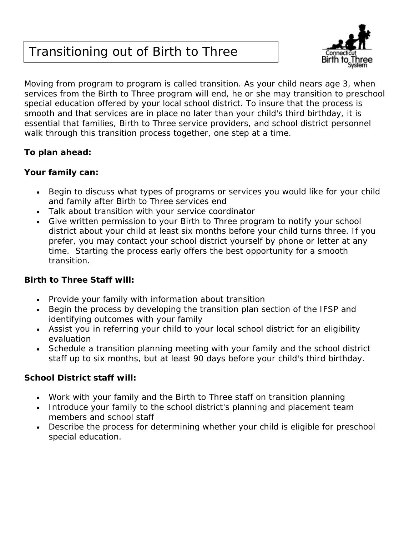# Transitioning out of Birth to Three



Moving from program to program is called transition. As your child nears age 3, when services from the Birth to Three program will end, he or she may transition to preschool special education offered by your local school district. To insure that the process is smooth and that services are in place no later than your child's third birthday, it is essential that families, Birth to Three service providers, and school district personnel walk through this transition process together, one step at a time.

# **To plan ahead:**

## *Your family can:*

- Begin to discuss what types of programs or services you would like for your child and family after Birth to Three services end
- Talk about transition with your service coordinator
- Give written permission to your Birth to Three program to notify your school district about your child at least six months before your child turns three. If you prefer, you may contact your school district yourself by phone or letter at any time. Starting the process early offers the best opportunity for a smooth transition.

#### *Birth to Three Staff will:*

- Provide your family with information about transition
- Begin the process by developing the transition plan section of the IFSP and identifying outcomes with your family
- Assist you in referring your child to your local school district for an eligibility evaluation
- Schedule a transition planning meeting with your family and the school district staff up to six months, but at least 90 days before your child's third birthday.

# *School District staff will:*

- Work with your family and the Birth to Three staff on transition planning
- Introduce your family to the school district's planning and placement team members and school staff
- Describe the process for determining whether your child is eligible for preschool special education.